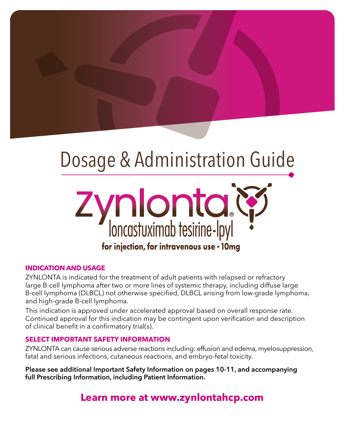# Dosage & Administration Guide



# **INDICATION AND USAGE**

ZYNLONTA is indicated for the treatment of adult patients with relapsed or refractory large B-cell lymphoma after two or more lines of systemic therapy, including diffuse large B-cell lymphoma (DLBCL) not otherwise specified, DLBCL arising from low-grade lymphoma, and high-grade B-cell lymphoma.

This indication is approved under accelerated approval based on overall response rate. Continued approval for this indication may be contingent upon verification and description of clinical benefit in a confirmatory trial(s).

# **SELECT IMPORTANT SAFETY INFORMATION**

ZYNLONTA can cause serious adverse reactions including: effusion and edema, myelosuppression, fatal and serious infections, cutaneous reactions, and embryo-fetal toxicity.

**Please see additional Important Safety Information on pages 10-11, and accompanying full Prescribing Information, including Patient Information.**

**Learn more at www.zynlontahcp.com**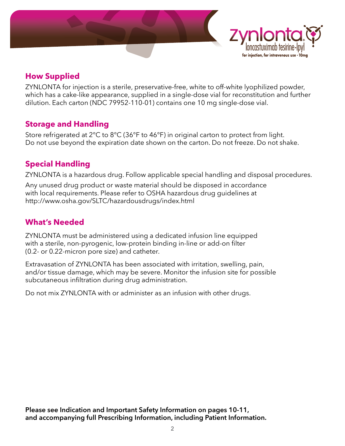



# **How Supplied**

ZYNLONTA for injection is a sterile, preservative-free, white to off-white lyophilized powder, which has a cake-like appearance, supplied in a single-dose vial for reconstitution and further dilution. Each carton (NDC 79952-110-01) contains one 10 mg single-dose vial.

# **Storage and Handling**

Store refrigerated at 2°C to 8°C (36°F to 46°F) in original carton to protect from light. Do not use beyond the expiration date shown on the carton. Do not freeze. Do not shake.

# **Special Handling**

ZYNLONTA is a hazardous drug. Follow applicable special handling and disposal procedures.

Any unused drug product or waste material should be disposed in accordance with local requirements. Please refer to OSHA hazardous drug guidelines at http://www.osha.gov/SLTC/hazardousdrugs/index.html

# **What's Needed**

ZYNLONTA must be administered using a dedicated infusion line equipped with a sterile, non-pyrogenic, low-protein binding in-line or add-on filter (0.2- or 0.22-micron pore size) and catheter.

Extravasation of ZYNLONTA has been associated with irritation, swelling, pain, and/or tissue damage, which may be severe. Monitor the infusion site for possible subcutaneous infiltration during drug administration.

Do not mix ZYNLONTA with or administer as an infusion with other drugs.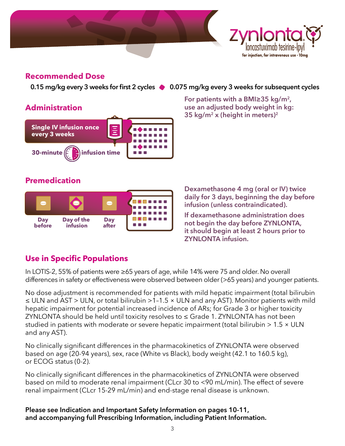



# **Administration**



# 0.15 mg/kg every 3 weeks for first 2 cycles  $\bullet$  0.075 mg/kg every 3 weeks for subsequent cycles

**®**

for injection, for intravenous use · 10mg

**For patients with a BMI≥35 kg/m2, use an adjusted body weight in kg: 35 kg/m<sup>2</sup> x (height in meters)<sup>2</sup>**

# **Premedication**



**Dexamethasone 4 mg (oral or IV) twice daily for 3 days, beginning the day before infusion (unless contraindicated).**

**If dexamethasone administration does not begin the day before ZYNLONTA, it should begin at least 2 hours prior to ZYNLONTA infusion.**

# **Use in Specific Populations**

In LOTIS-2, 55% of patients were ≥65 years of age, while 14% were 75 and older. No overall differences in safety or effectiveness were observed between older (>65 years) and younger patients.

No dose adjustment is recommended for patients with mild hepatic impairment (total bilirubin  $\leq$  ULN and AST > ULN, or total bilirubin > 1-1.5  $\times$  ULN and any AST). Monitor patients with mild hepatic impairment for potential increased incidence of ARs; for Grade 3 or higher toxicity ZYNLONTA should be held until toxicity resolves to ≤ Grade 1. ZYNLONTA has not been studied in patients with moderate or severe hepatic impairment (total bilirubin > 1.5 × ULN and any AST).

No clinically significant differences in the pharmacokinetics of ZYNLONTA were observed based on age (20-94 years), sex, race (White vs Black), body weight (42.1 to 160.5 kg), or ECOG status (0-2).

No clinically significant differences in the pharmacokinetics of ZYNLONTA were observed based on mild to moderate renal impairment (CLcr 30 to <90 mL/min). The effect of severe renal impairment (CLcr 15-29 mL/min) and end-stage renal disease is unknown.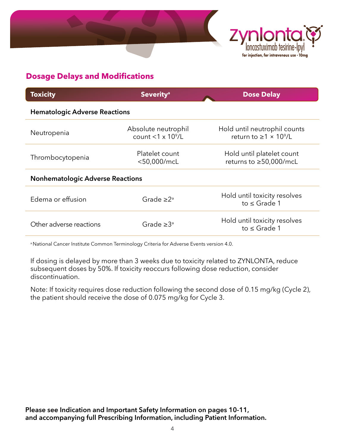



# **Dosage Delays and Modifications**

| <b>Toxicity</b>                         | <b>Severity<sup>a</sup></b>                             | <b>Dose Delay</b>                                                              |  |  |
|-----------------------------------------|---------------------------------------------------------|--------------------------------------------------------------------------------|--|--|
| <b>Hematologic Adverse Reactions</b>    |                                                         |                                                                                |  |  |
| Neutropenia                             | Absolute neutrophil<br>count $<$ 1 x 10 <sup>9</sup> /L | Hold until neutrophil counts<br>return to $\geq$ 1 $\times$ 10 <sup>9</sup> /L |  |  |
| Thrombocytopenia                        | Platelet count<br><50,000/mcL                           | Hold until platelet count<br>returns to ≥50,000/mcL                            |  |  |
| <b>Nonhematologic Adverse Reactions</b> |                                                         |                                                                                |  |  |
| Edema or effusion                       | Grade $\geq 2^a$                                        | Hold until toxicity resolves<br>to $\leq$ Grade 1                              |  |  |
| Other adverse reactions                 | Grade $\geq 3^a$                                        | Hold until toxicity resolves<br>to $\leq$ Grade 1                              |  |  |
|                                         |                                                         |                                                                                |  |  |

a National Cancer Institute Common Terminology Criteria for Adverse Events version 4.0.

If dosing is delayed by more than 3 weeks due to toxicity related to ZYNLONTA, reduce subsequent doses by 50%. If toxicity reoccurs following dose reduction, consider discontinuation.

Note: If toxicity requires dose reduction following the second dose of 0.15 mg/kg (Cycle 2), the patient should receive the dose of 0.075 mg/kg for Cycle 3.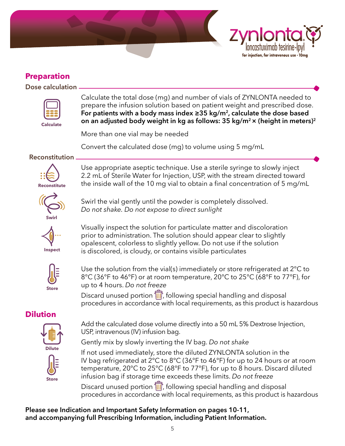



# **Preparation**

**Dose calculation**



 Calculate the total dose (mg) and number of vials of ZYNLONTA needed to prepare the infusion solution based on patient weight and prescribed dose. **For patients with a body mass index ≥35 kg/m2, calculate the dose based on an adjusted body weight in kg as follows: 35 kg/m<sup>2</sup>× (height in meters)<sup>2</sup>**

More than one vial may be needed

Convert the calculated dose (mg) to volume using 5 mg/mL

**Reconstitution**



Use appropriate aseptic technique. Use a sterile syringe to slowly inject 2.2 mL of Sterile Water for Injection, USP, with the stream directed toward the inside wall of the 10 mg vial to obtain a final concentration of 5 mg/mL



 Swirl the vial gently until the powder is completely dissolved. *Do not shake. Do not expose to direct sunlight*



 Visually inspect the solution for particulate matter and discoloration prior to administration. The solution should appear clear to slightly opalescent, colorless to slightly yellow. Do not use if the solution is discolored, is cloudy, or contains visible particulates



Use the solution from the vial(s) immediately or store refrigerated at 2°C to 8°C (36°F to 46°F) or at room temperature, 20°C to 25°C (68°F to 77°F), for up to 4 hours. *Do not freeze*

Discard unused portion  $\overline{III}$ , following special handling and disposal procedures in accordance with local requirements, as this product is hazardous

# **Dilution**



 Add the calculated dose volume directly into a 50 mL 5% Dextrose Injection, USP, intravenous (IV) infusion bag.

Gently mix by slowly inverting the IV bag. *Do not shake*

 If not used immediately, store the diluted ZYNLONTA solution in the IV bag refrigerated at 2°C to 8°C (36°F to 46°F) for up to 24 hours or at room temperature, 20°C to 25°C (68°F to 77°F), for up to 8 hours. Discard diluted infusion bag if storage time exceeds these limits. *Do not freeze*

Discard unused portion  $\overline{\mathbb{II}^n}$ , following special handling and disposal procedures in accordance with local requirements, as this product is hazardous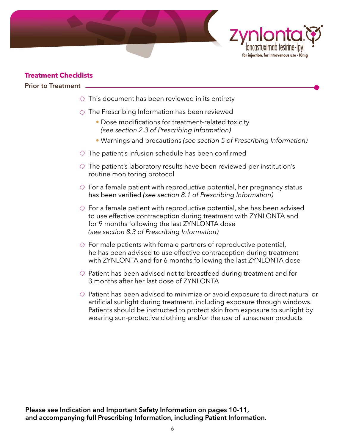



# **Treatment Checklists**

**Prior to Treatment**

- $\circlearrowright$  This document has been reviewed in its entirety
- $\Diamond$  The Prescribing Information has been reviewed
	- Dose modifications for treatment-related toxicity *(see section 2.3 of Prescribing Information)*
	- Warnings and precautions *(see section 5 of Prescribing Information)*
- $\Diamond$  The patient's infusion schedule has been confirmed
- $\Diamond$  The patient's laboratory results have been reviewed per institution's routine monitoring protocol
- $\Diamond$  For a female patient with reproductive potential, her pregnancy status has been verified *(see section 8.1 of Prescribing Information)*
- $\Diamond$  For a female patient with reproductive potential, she has been advised to use effective contraception during treatment with ZYNLONTA and for 9 months following the last ZYNLONTA dose *(see section 8.3 of Prescribing Information)*
- $\Diamond$  For male patients with female partners of reproductive potential, he has been advised to use effective contraception during treatment with ZYNLONTA and for 6 months following the last ZYNLONTA dose
- $\Diamond$  Patient has been advised not to breastfeed during treatment and for 3 months after her last dose of ZYNLONTA
- $\Diamond$  Patient has been advised to minimize or avoid exposure to direct natural or artificial sunlight during treatment, including exposure through windows. Patients should be instructed to protect skin from exposure to sunlight by wearing sun-protective clothing and/or the use of sunscreen products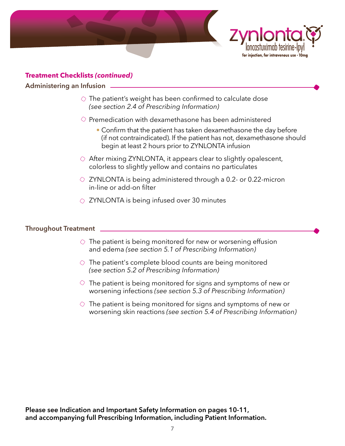



# **Treatment Checklists** *(continued)*

### **Administering an Infusion**

- $\Diamond$  The patient's weight has been confirmed to calculate dose *(see section 2.4 of Prescribing Information)*
- $\Diamond$  Premedication with dexamethasone has been administered
	- Confirm that the patient has taken dexamethasone the day before (if not contraindicated). If the patient has not, dexamethasone should begin at least 2 hours prior to ZYNLONTA infusion
- $\Diamond$  After mixing ZYNLONTA, it appears clear to slightly opalescent, colorless to slightly yellow and contains no particulates
- $\circ$  ZYNLONTA is being administered through a 0.2- or 0.22-micron in-line or add-on filter
- $\Diamond$  ZYNLONTA is being infused over 30 minutes

# **Throughout Treatment**

- $\Diamond$  The patient is being monitored for new or worsening effusion and edema *(see section 5.1 of Prescribing Information)*
- $\Diamond$  The patient's complete blood counts are being monitored *(see section 5.2 of Prescribing Information)*
- $\Diamond$  The patient is being monitored for signs and symptoms of new or worsening infections *(see section 5.3 of Prescribing Information)*
- $\Diamond$  The patient is being monitored for signs and symptoms of new or worsening skin reactions *(see section 5.4 of Prescribing Information)*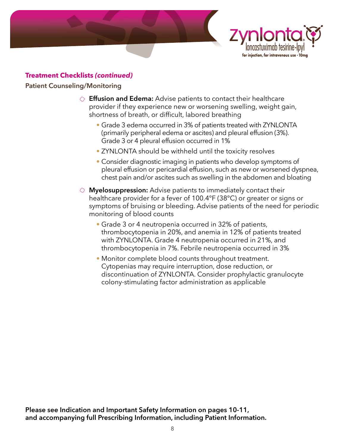



# **Treatment Checklists** *(continued)*

# **Patient Counseling/Monitoring**

- **Effusion and Edema:** Advise patients to contact their healthcare provider if they experience new or worsening swelling, weight gain, shortness of breath, or difficult, labored breathing
	- Grade 3 edema occurred in 3% of patients treated with ZYNLONTA (primarily peripheral edema or ascites) and pleural effusion (3%). Grade 3 or 4 pleural effusion occurred in 1%
	- ZYNLONTA should be withheld until the toxicity resolves
	- Consider diagnostic imaging in patients who develop symptoms of pleural effusion or pericardial effusion, such as new or worsened dyspnea, chest pain and/or ascites such as swelling in the abdomen and bloating
- **Myelosuppression:** Advise patients to immediately contact their healthcare provider for a fever of 100.4°F (38°C) or greater or signs or symptoms of bruising or bleeding. Advise patients of the need for periodic monitoring of blood counts
	- Grade 3 or 4 neutropenia occurred in 32% of patients, thrombocytopenia in 20%, and anemia in 12% of patients treated with ZYNLONTA. Grade 4 neutropenia occurred in 21%, and thrombocytopenia in 7%. Febrile neutropenia occurred in 3%
	- Monitor complete blood counts throughout treatment. Cytopenias may require interruption, dose reduction, or discontinuation of ZYNLONTA. Consider prophylactic granulocyte colony-stimulating factor administration as applicable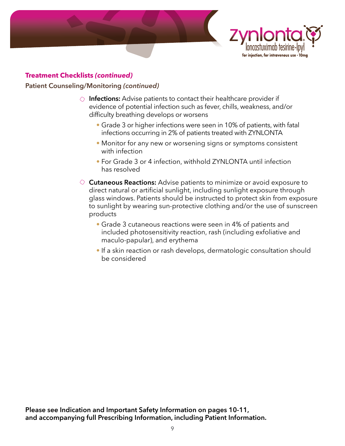



# **Treatment Checklists** *(continued)*

# **Patient Counseling/Monitoring** *(continued)*

- **Infections:** Advise patients to contact their healthcare provider if evidence of potential infection such as fever, chills, weakness, and/or difficulty breathing develops or worsens
	- Grade 3 or higher infections were seen in 10% of patients, with fatal infections occurring in 2% of patients treated with ZYNLONTA
	- Monitor for any new or worsening signs or symptoms consistent with infection
	- For Grade 3 or 4 infection, withhold ZYNLONTA until infection has resolved
- **Cutaneous Reactions:** Advise patients to minimize or avoid exposure to direct natural or artificial sunlight, including sunlight exposure through glass windows. Patients should be instructed to protect skin from exposure to sunlight by wearing sun-protective clothing and/or the use of sunscreen products
	- Grade 3 cutaneous reactions were seen in 4% of patients and included photosensitivity reaction, rash (including exfoliative and maculo-papular), and erythema
	- If a skin reaction or rash develops, dermatologic consultation should be considered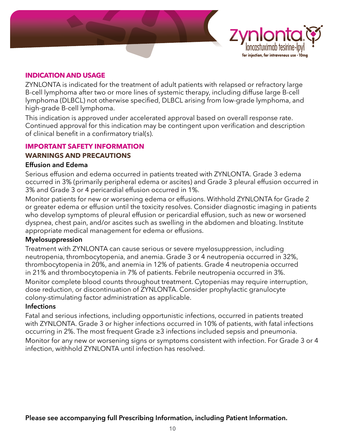



# **INDICATION AND USAGE**

ZYNLONTA is indicated for the treatment of adult patients with relapsed or refractory large B-cell lymphoma after two or more lines of systemic therapy, including diffuse large B-cell lymphoma (DLBCL) not otherwise specified, DLBCL arising from low-grade lymphoma, and high-grade B-cell lymphoma.

This indication is approved under accelerated approval based on overall response rate. Continued approval for this indication may be contingent upon verification and description of clinical benefit in a confirmatory trial(s).

# **IMPORTANT SAFETY INFORMATION**

# **WARNINGS AND PRECAUTIONS**

# **Effusion and Edema**

Serious effusion and edema occurred in patients treated with ZYNLONTA. Grade 3 edema occurred in 3% (primarily peripheral edema or ascites) and Grade 3 pleural effusion occurred in 3% and Grade 3 or 4 pericardial effusion occurred in 1%.

Monitor patients for new or worsening edema or effusions. Withhold ZYNLONTA for Grade 2 or greater edema or effusion until the toxicity resolves. Consider diagnostic imaging in patients who develop symptoms of pleural effusion or pericardial effusion, such as new or worsened dyspnea, chest pain, and/or ascites such as swelling in the abdomen and bloating. Institute appropriate medical management for edema or effusions.

# **Myelosuppression**

Treatment with ZYNLONTA can cause serious or severe myelosuppression, including neutropenia, thrombocytopenia, and anemia. Grade 3 or 4 neutropenia occurred in 32%, thrombocytopenia in 20%, and anemia in 12% of patients. Grade 4 neutropenia occurred in 21% and thrombocytopenia in 7% of patients. Febrile neutropenia occurred in 3%. Monitor complete blood counts throughout treatment. Cytopenias may require interruption, dose reduction, or discontinuation of ZYNLONTA. Consider prophylactic granulocyte colony-stimulating factor administration as applicable.

# **Infections**

Fatal and serious infections, including opportunistic infections, occurred in patients treated with ZYNLONTA. Grade 3 or higher infections occurred in 10% of patients, with fatal infections occurring in 2%. The most frequent Grade ≥3 infections included sepsis and pneumonia.

Monitor for any new or worsening signs or symptoms consistent with infection. For Grade 3 or 4 infection, withhold ZYNLONTA until infection has resolved.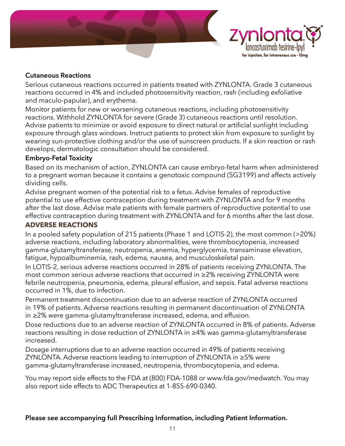



# **Cutaneous Reactions**

Serious cutaneous reactions occurred in patients treated with ZYNLONTA. Grade 3 cutaneous reactions occurred in 4% and included photosensitivity reaction, rash (including exfoliative and maculo-papular), and erythema.

Monitor patients for new or worsening cutaneous reactions, including photosensitivity reactions. Withhold ZYNLONTA for severe (Grade 3) cutaneous reactions until resolution. Advise patients to minimize or avoid exposure to direct natural or artificial sunlight including exposure through glass windows. Instruct patients to protect skin from exposure to sunlight by wearing sun-protective clothing and/or the use of sunscreen products. If a skin reaction or rash develops, dermatologic consultation should be considered.

# **Embryo-Fetal Toxicity**

Based on its mechanism of action, ZYNLONTA can cause embryo-fetal harm when administered to a pregnant woman because it contains a genotoxic compound (SG3199) and affects actively dividing cells.

Advise pregnant women of the potential risk to a fetus. Advise females of reproductive potential to use effective contraception during treatment with ZYNLONTA and for 9 months after the last dose. Advise male patients with female partners of reproductive potential to use effective contraception during treatment with ZYNLONTA and for 6 months after the last dose.

# **ADVERSE REACTIONS**

In a pooled safety population of 215 patients (Phase 1 and LOTIS-2), the most common (>20%) adverse reactions, including laboratory abnormalities, were thrombocytopenia, increased gamma-glutamyltransferase, neutropenia, anemia, hyperglycemia, transaminase elevation, fatigue, hypoalbuminemia, rash, edema, nausea, and musculoskeletal pain.

In LOTIS-2, serious adverse reactions occurred in 28% of patients receiving ZYNLONTA. The most common serious adverse reactions that occurred in ≥2% receiving ZYNLONTA were febrile neutropenia, pneumonia, edema, pleural effusion, and sepsis. Fatal adverse reactions occurred in 1%, due to infection.

Permanent treatment discontinuation due to an adverse reaction of ZYNLONTA occurred in 19% of patients. Adverse reactions resulting in permanent discontinuation of ZYNLONTA in ≥2% were gamma-glutamyltransferase increased, edema, and effusion.

Dose reductions due to an adverse reaction of ZYNLONTA occurred in 8% of patients. Adverse reactions resulting in dose reduction of ZYNLONTA in ≥4% was gamma-glutamyltransferase increased.

Dosage interruptions due to an adverse reaction occurred in 49% of patients receiving ZYNLONTA. Adverse reactions leading to interruption of ZYNLONTA in ≥5% were gamma-glutamyltransferase increased, neutropenia, thrombocytopenia, and edema.

You may report side effects to the FDA at (800) FDA-1088 or www.fda.gov/medwatch. You may also report side effects to ADC Therapeutics at 1-855-690-0340.

# **Please see accompanying full Prescribing Information, including Patient Information.**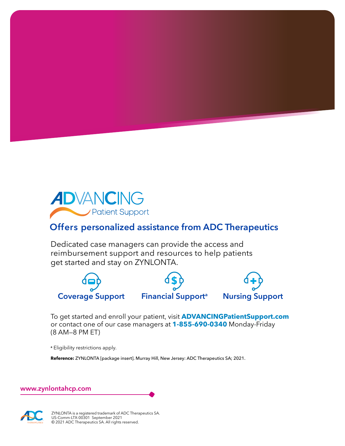

# **Offers personalized assistance from ADC Therapeutics**

Dedicated case managers can provide the access and reimbursement support and resources to help patients get started and stay on ZYNLONTA.



To get started and enroll your patient, visit **ADVANCINGPatientSupport.com** or contact one of our case managers at **1-855-690-0340** Monday-Friday (8 AM—8 PM ET)

**<sup>a</sup>** Eligibility restrictions apply.

**Reference:** ZYNLONTA [package insert]. Murray Hill, New Jersey: ADC Therapeutics SA; 2021.

**www.zynlontahcp.com**



ZYNLONTA is a registered trademark of ADC Therapeutics SA. US-Comm-LTX-00301 September 2021 © 2021 ADC Therapeutics SA. All rights reserved.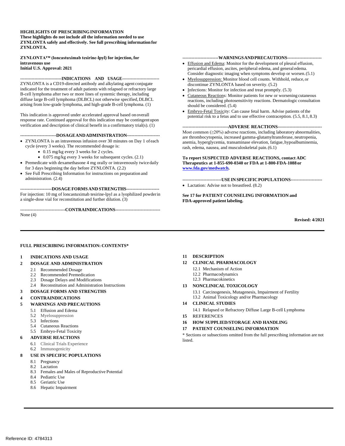#### **HIGHLIGHTS OF PRESCRIBINGINFORMATION These highlights do not include all the information needed to use ZYNLONTA safely and effectively. See full prescribing information for ZYNLONTA.**

#### **ZYNLONTA™ (loncastuximab tesirine-lpyl) for injection, for intravenous use Initial U.S. Approval: 2021**

#### **-----------------------------INDICATIONS AND USAGE--------------------------**

ZYNLONTA is a CD19-directed antibody and alkylating agent conjugate indicated for the treatment of adult patients with relapsed or refractory large B-cell lymphoma after two or more lines of systemic therapy, including diffuse large B-cell lymphoma (DLBCL) not otherwise specified, DLBCL arising from low-grade lymphoma, and high-grade B-cell lymphoma. (1)

This indication is approved under accelerated approval based on overall response rate. Continued approval for this indication may be contingentupon verification and description of clinical benefit in a confirmatory trial(s). (1)

#### **------------------------DOSAGEANDADMINISTRATION----------------------**

- ZYNLONTA is an intravenous infusion over 30 minutes on Day 1 of each cycle (every 3 weeks). The recommended dosage is:
	- 0.15 mg/kg every 3 weeks for 2 cycles.
	- 0.075 mg/kg every 3 weeks for subsequent cycles. (2.1)
- Premedicate with dexamethasone 4 mg orally or intravenously twice daily for 3 days beginning the day before ZYNLONTA. (2.2)
- See Full Prescribing Information for instructions on preparation and administration. (2.4)

**---------------------DOSAGEFORMSANDSTRENGTHS----------------------** For injection: 10 mg of loncastuximab tesirine-lpyl as a lyophilized powderin a single-dose vial for reconstitution and further dilution. (3)

#### **------------------------------CONTRAINDICATIONS------------------------------**

None (4)

#### **------------------------WARNINGSANDPRECAUTIONS-----------------------**

- Effusion and Edema: Monitor for the development of pleural effusion, pericardial effusion, ascites, peripheral edema, and general edema. Consider diagnostic imaging when symptoms develop or worsen.(5.1)
- Myelosuppression: Monitor blood cell counts. Withhold, reduce,or discontinue ZYNLONTA based on severity. (5.2)
- Infections: Monitor for infection and treat promptly. (5.3)
- Cutaneous Reactions: Monitor patients for new or worsening cutaneous reactions, including photosensitivity reactions. Dermatologic consultation should be considered. (5.4)
- Embryo-Fetal Toxicity: Can cause fetal harm. Advise patients ofthe potential risk to a fetus and to use effective contraception. (5.5, 8.1, 8.3)

#### **-------------------------------ADVERSE REACTIONS------------------------------**

Most common (≥20%) adverse reactions, including laboratory abnormalities, are thrombocytopenia, increased gamma-glutamyltransferase, neutropenia, anemia, hyperglycemia, transaminase elevation, fatigue, hypoalbuminemia, rash, edema, nausea, and musculoskeletal pain.(6.1)

#### **To report SUSPECTED ADVERSE REACTIONS, contact ADC Therapeutics at 1-855-690-0340 or FDA at 1-800-FDA-1088or [www.fda.gov/medwatch.](http://www.fda.gov/medwatch)**

**--------------------------USEINSPECIFICPOPULATIONS---------------------** • Lactation: Advise not to breastfeed. (8.2)

**See 17 for PATIENT COUNSELING INFORMATION and FDA-approved patient labeling.**

**Revised: 4/2021**

#### **FULL PRESCRIBING INFORMATION: CONTENTS\***

#### **1 INDICATIONS AND USAGE**

#### **2 DOSAGE AND ADMINISTRATION**

- 2.1 Recommended Dosage
- 2.2 Recommended Premedication
- 2.3 Dosage Delays and Modifications
- 2.4 Reconstitution and Administration Instructions

#### **3 DOSAGE FORMS AND STRENGTHS**

#### **4 CONTRAINDICATIONS**

#### **5 WARNINGS AND PRECAUTIONS**

- 5.1 Effusion and Edema
- 5.2 Myelosuppression
- 5.3 Infections
- 5.4 Cutaneous Reactions
- 5.5 Embryo-Fetal Toxicity

#### **6 ADVERSE REACTIONS**

- 6.1 Clinical Trials Experience
- 6.2 Immunogenicity

#### **8 USE IN SPECIFIC POPULATIONS**

- 8.1 Pregnancy
- 8.2 Lactation
- 8.3 Females and Males of Reproductive Potential
- 8.4 Pediatric Use
- 8.5 Geriatric Use
- 8.6 Hepatic Impairment

#### **11 DESCRIPTION**

#### **12 CLINICAL PHARMACOLOGY**

- 12.1 Mechanism of Action
- 12.2 Pharmacodynamics
- 12.3 Pharmacokinetics
- **13 NONCLINICAL TOXICOLOGY**
	- 13.1 Carcinogenesis, Mutagenesis, Impairment of Fertility
	- 13.2 Animal Toxicology and/or Pharmacology

#### **14 CLINICAL STUDIES**

- 14.1 Relapsed or Refractory Diffuse Large B-cell Lymphoma
- **15 REFERENCES**
- **16 HOW SUPPLIED/STORAGE AND HANDLING**
- **17 PATIENT COUNSELING INFORMATION**

\* Sections or subsections omitted from the full prescribing information are not listed.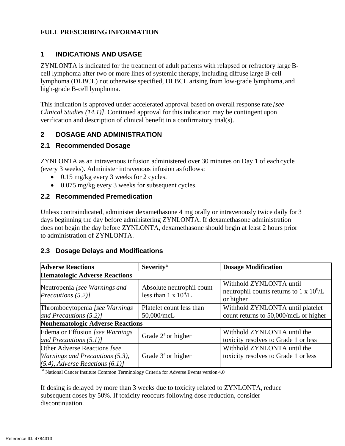### **FULL PRESCRIBING INFORMATION**

# **1 INDICATIONS AND USAGE**

ZYNLONTA is indicated for the treatment of adult patients with relapsed or refractory large Bcell lymphoma after two or more lines of systemic therapy, including diffuse large B-cell lymphoma (DLBCL) not otherwise specified, DLBCL arising from low-grade lymphoma, and high-grade B-cell lymphoma.

This indication is approved under accelerated approval based on overall response rate *[see Clinical Studies (14.1)]*. Continued approval for this indication may be contingent upon verification and description of clinical benefit in a confirmatory trial(s).

# **2 DOSAGE AND ADMINISTRATION**

# **2.1 Recommended Dosage**

ZYNLONTA as an intravenous infusion administered over 30 minutes on Day 1 of each cycle (every 3 weeks). Administer intravenous infusion asfollows:

- 0.15 mg/kg every 3 weeks for 2 cycles.
- 0.075 mg/kg every 3 weeks for subsequent cycles.

# **2.2 Recommended Premedication**

Unless contraindicated, administer dexamethasone 4 mg orally or intravenously twice daily for 3 days beginning the day before administering ZYNLONTA. If dexamethasone administration does not begin the day before ZYNLONTA, dexamethasone should begin at least 2 hours prior to administration of ZYNLONTA.

# **2.3 Dosage Delays and Modifications**

| <b>Adverse Reactions</b>                                                                                       | <b>Severity</b> <sup>a</sup>                              | <b>Dosage Modification</b>                                                         |  |  |
|----------------------------------------------------------------------------------------------------------------|-----------------------------------------------------------|------------------------------------------------------------------------------------|--|--|
| <b>Hematologic Adverse Reactions</b>                                                                           |                                                           |                                                                                    |  |  |
| Neutropenia [see Warnings and<br>Precautions $(5.2)$ ]                                                         | Absolute neutrophil count<br>less than $1 \times 10^9$ /L | Withhold ZYNLONTA until<br>neutrophil counts returns to 1 x $10^9$ /L<br>or higher |  |  |
| Thrombocytopenia [see Warnings]                                                                                | Platelet count less than                                  | Withhold ZYNLONTA until platelet                                                   |  |  |
| and Precautions $(5.2)$ ]                                                                                      | 50,000/mcL                                                | count returns to 50,000/mcL or higher                                              |  |  |
| <b>Nonhematologic Adverse Reactions</b>                                                                        |                                                           |                                                                                    |  |  |
| Edema or Effusion [see Warnings]<br>and Precautions $(5.1)$ ]                                                  | Grade $2^{\circ}$ or higher                               | Withhold ZYNLONTA until the<br>toxicity resolves to Grade 1 or less                |  |  |
| Other Adverse Reactions [see]<br><i>Warnings and Precautions (5.3),</i><br>$(5.4)$ , Adverse Reactions $(6.1)$ | Grade $3a$ or higher                                      | Withhold ZYNLONTA until the<br>toxicity resolves to Grade 1 or less                |  |  |

 $a$  National Cancer Institute Common Terminology Criteria for Adverse Events version 4.0

If dosing is delayed by more than 3 weeks due to toxicity related to ZYNLONTA,reduce subsequent doses by 50%. If toxicity reoccurs following dose reduction, consider discontinuation.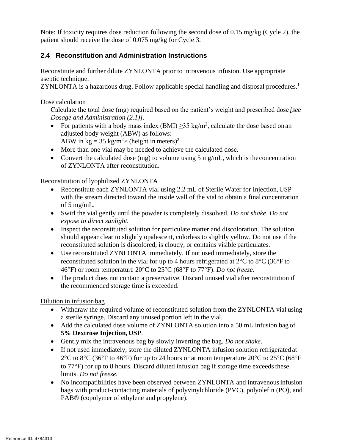Note: If toxicity requires dose reduction following the second dose of 0.15 mg/kg (Cycle 2), the patient should receive the dose of 0.075 mg/kg for Cycle 3.

# **2.4 Reconstitution and Administration Instructions**

Reconstitute and further dilute ZYNLONTA prior to intravenous infusion. Use appropriate aseptic technique.

ZYNLONTA is a hazardous drug. Follow applicable special handling and disposal procedures.<sup>1</sup>

# Dose calculation

Calculate the total dose (mg) required based on the patient's weight and prescribed dose *[see Dosage and Administration (2.1)]*.

- For patients with a body mass index (BMI)  $\geq$ 35 kg/m<sup>2</sup>, calculate the dose based on an adjusted body weight (ABW) as follows: ABW in kg = 35 kg/m<sup>2</sup> $\times$  (height in meters)<sup>2</sup>
- More than one vial may be needed to achieve the calculated dose.
- Convert the calculated dose (mg) to volume using 5 mg/mL, which is the concentration of ZYNLONTA after reconstitution.

# Reconstitution of lyophilized ZYNLONTA

- Reconstitute each ZYNLONTA vial using 2.2 mL of Sterile Water for Injection, USP with the stream directed toward the inside wall of the vial to obtain a final concentration of 5 mg/mL.
- Swirl the vial gently until the powder is completely dissolved. *Do not shake*. *Do not expose to direct sunlight.*
- Inspect the reconstituted solution for particulate matter and discoloration. The solution should appear clear to slightly opalescent, colorless to slightly yellow. Do not use ifthe reconstituted solution is discolored, is cloudy, or contains visible particulates.
- Use reconstituted ZYNLONTA immediately. If not used immediately, store the reconstituted solution in the vial for up to 4 hours refrigerated at  $2^{\circ}C$  to  $8^{\circ}C$  (36 $^{\circ}F$  to 46F) or room temperature 20C to 25C (68F to 77F). *Do not freeze*.
- The product does not contain a preservative. Discard unused vial after reconstitution if the recommended storage time is exceeded.

Dilution in infusion bag

- Withdraw the required volume of reconstituted solution from the ZYNLONTA vial using a sterile syringe. Discard any unused portion left in the vial.
- Add the calculated dose volume of ZYNLONTA solution into a 50 mL infusion bag of **5% Dextrose Injection, USP**.
- Gently mix the intravenous bag by slowly inverting the bag. *Do not shake*.
- If not used immediately, store the diluted ZYNLONTA infusion solution refrigerated at 2<sup>o</sup>C to 8<sup>o</sup>C (36<sup>o</sup>F to 46<sup>o</sup>F) for up to 24 hours or at room temperature 20<sup>o</sup>C to 25<sup>o</sup>C (68<sup>o</sup>F) to  $77^{\circ}$ F) for up to 8 hours. Discard diluted infusion bag if storage time exceeds these limits. *Do not freeze.*
- No incompatibilities have been observed between ZYNLONTA and intravenous infusion bags with product-contacting materials of polyvinylchloride (PVC), polyolefin (PO), and PAB® (copolymer of ethylene and propylene).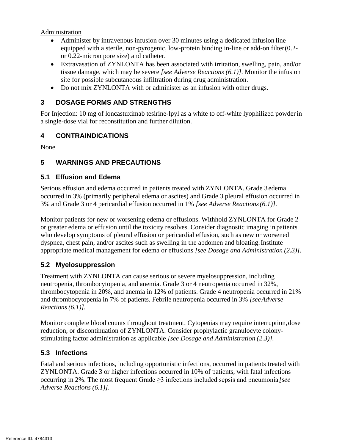Administration

- Administer by intravenous infusion over 30 minutes using a dedicated infusion line equipped with a sterile, non-pyrogenic, low-protein binding in-line or add-on filter(0.2 or 0.22-micron pore size) and catheter.
- Extravasation of ZYNLONTA has been associated with irritation, swelling, pain, and/or tissue damage, which may be severe *[see Adverse Reactions (6.1)]*. Monitor the infusion site for possible subcutaneous infiltration during drug administration.
- Do not mix ZYNLONTA with or administer as an infusion with other drugs.

# **3 DOSAGE FORMS AND STRENGTHS**

For Injection: 10 mg of loncastuximab tesirine-lpyl as a white to off-white lyophilized powderin a single-dose vial for reconstitution and further dilution.

# **4 CONTRAINDICATIONS**

None

# **5 WARNINGS AND PRECAUTIONS**

# **5.1 Effusion and Edema**

Serious effusion and edema occurred in patients treated with ZYNLONTA. Grade 3edema occurred in 3% (primarily peripheral edema or ascites) and Grade 3 pleural effusion occurred in 3% and Grade 3 or 4 pericardial effusion occurred in 1% *[see Adverse Reactions(6.1)]*.

Monitor patients for new or worsening edema or effusions. Withhold ZYNLONTA for Grade 2 or greater edema or effusion until the toxicity resolves. Consider diagnostic imaging in patients who develop symptoms of pleural effusion or pericardial effusion, such as new or worsened dyspnea, chest pain, and/or ascites such as swelling in the abdomen and bloating.Institute appropriate medical management for edema or effusions *[see Dosage and Administration (2.3)]*.

# **5.2 Myelosuppression**

Treatment with ZYNLONTA can cause serious or severe myelosuppression, including neutropenia, thrombocytopenia, and anemia. Grade 3 or 4 neutropenia occurred in 32%, thrombocytopenia in 20%, and anemia in 12% of patients. Grade 4 neutropenia occurred in 21% and thrombocytopenia in 7% of patients. Febrile neutropenia occurred in 3% *[seeAdverse Reactions(6.1)].*

Monitor complete blood counts throughout treatment. Cytopenias may require interruption, dose reduction, or discontinuation of ZYNLONTA. Consider prophylactic granulocyte colonystimulating factor administration as applicable *[see Dosage and Administration (2.3)].*

# **5.3 Infections**

Fatal and serious infections, including opportunistic infections, occurred in patients treated with ZYNLONTA. Grade 3 or higher infections occurred in 10% of patients, with fatal infections occurring in 2%. The most frequent Grade ≥3 infections included sepsis and pneumonia *[see Adverse Reactions (6.1)]*.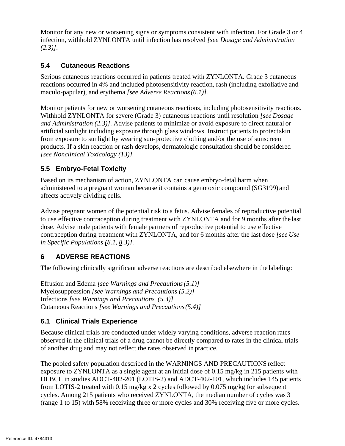Monitor for any new or worsening signs or symptoms consistent with infection. For Grade 3 or 4 infection, withhold ZYNLONTA until infection has resolved *[see Dosage and Administration (2.3)]*.

# **5.4 Cutaneous Reactions**

Serious cutaneous reactions occurred in patients treated with ZYNLONTA. Grade 3 cutaneous reactions occurred in 4% and included photosensitivity reaction, rash (including exfoliative and maculo-papular), and erythema *[see Adverse Reactions(6.1)].*

Monitor patients for new or worsening cutaneous reactions, including photosensitivity reactions. Withhold ZYNLONTA for severe (Grade 3) cutaneous reactions until resolution *[see Dosage and Administration (2.3)]*. Advise patients to minimize or avoid exposure to direct natural or artificial sunlight including exposure through glass windows. Instruct patients to protectskin from exposure to sunlight by wearing sun-protective clothing and/or the use of sunscreen products. If a skin reaction or rash develops, dermatologic consultation should be considered *[see Nonclinical Toxicology (13)].*

# **5.5 Embryo-Fetal Toxicity**

Based on its mechanism of action, ZYNLONTA can cause embryo-fetal harm when administered to a pregnant woman because it contains a genotoxic compound (SG3199) and affects actively dividing cells.

Advise pregnant women of the potential risk to a fetus. Advise females of reproductive potential to use effective contraception during treatment with ZYNLONTA and for 9 months after the last dose. Advise male patients with female partners of reproductive potential to use effective contraception during treatment with ZYNLONTA, and for 6 months after the last dose *[see Use in Specific Populations (8.1, 8.3)]*.

# **6 ADVERSE REACTIONS**

The following clinically significant adverse reactions are described elsewhere in the labeling:

Effusion and Edema *[see Warnings and Precautions(5.1)]* Myelosuppression *[see Warnings and Precautions (5.2)]*  Infections *[see Warnings and Precautions (5.3)]*  Cutaneous Reactions *[see Warnings and Precautions(5.4)]*

# **6.1 Clinical Trials Experience**

Because clinical trials are conducted under widely varying conditions, adverse reaction rates observed in the clinical trials of a drug cannot be directly compared to rates in the clinical trials of another drug and may not reflect the rates observed in practice.

The pooled safety population described in the WARNINGS AND PRECAUTIONS reflect exposure to ZYNLONTA as a single agent at an initial dose of 0.15 mg/kg in 215 patients with DLBCL in studies ADCT-402-201 (LOTIS-2) and ADCT-402-101, which includes 145 patients from LOTIS-2 treated with 0.15 mg/kg x 2 cycles followed by 0.075 mg/kg for subsequent cycles. Among 215 patients who received ZYNLONTA, the median number of cycles was 3 (range 1 to 15) with 58% receiving three or more cycles and 30% receiving five or more cycles.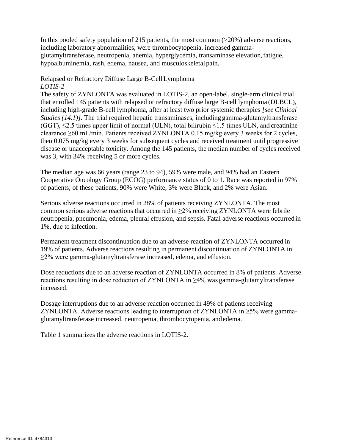In this pooled safety population of 215 patients, the most common (>20%) adverse reactions, including laboratory abnormalities, were thrombocytopenia, increased gammaglutamyltransferase, neutropenia, anemia, hyperglycemia, transaminase elevation,fatigue, hypoalbuminemia, rash, edema, nausea, and musculoskeletal pain.

#### Relapsed or Refractory Diffuse Large B-CellLymphoma *LOTIS-2*

The safety of ZYNLONTA was evaluated in LOTIS-2, an open-label, single-arm clinical trial that enrolled 145 patients with relapsed or refractory diffuse large B-cell lymphoma (DLBCL), including high-grade B-cell lymphoma, after at least two prior systemic therapies *[see Clinical Studies (14.1)]*. The trial required hepatic transaminases, including gamma-glutamyltransferase (GGT),  $\leq$ 2.5 times upper limit of normal (ULN), total bilirubin  $\leq$ 1.5 times ULN, and creatinine clearance  $\geq 60$  mL/min. Patients received ZYNLONTA 0.15 mg/kg every 3 weeks for 2 cycles, then 0.075 mg/kg every 3 weeks for subsequent cycles and received treatment until progressive disease or unacceptable toxicity. Among the 145 patients, the median number of cycles received was 3, with 34% receiving 5 or more cycles.

The median age was 66 years (range 23 to 94), 59% were male, and 94% had an Eastern Cooperative Oncology Group (ECOG) performance status of 0 to 1. Race was reported in 97% of patients; of these patients, 90% were White, 3% were Black, and 2% were Asian.

Serious adverse reactions occurred in 28% of patients receiving ZYNLONTA. The most common serious adverse reactions that occurred in  $\geq$ 2% receiving ZYNLONTA were febrile neutropenia, pneumonia, edema, pleural effusion, and sepsis. Fatal adverse reactions occurred in 1%, due to infection.

Permanent treatment discontinuation due to an adverse reaction of ZYNLONTA occurred in 19% of patients. Adverse reactions resulting in permanent discontinuation of ZYNLONTA in ≥2% were gamma-glutamyltransferase increased, edema, and effusion.

Dose reductions due to an adverse reaction of ZYNLONTA occurred in 8% of patients. Adverse reactions resulting in dose reduction of ZYNLONTA in ≥4% was gamma-glutamyltransferase increased.

Dosage interruptions due to an adverse reaction occurred in 49% of patients receiving ZYNLONTA. Adverse reactions leading to interruption of ZYNLONTA in  $\geq$ 5% were gammaglutamyltransferase increased, neutropenia, thrombocytopenia, andedema.

Table 1 summarizes the adverse reactions in LOTIS-2.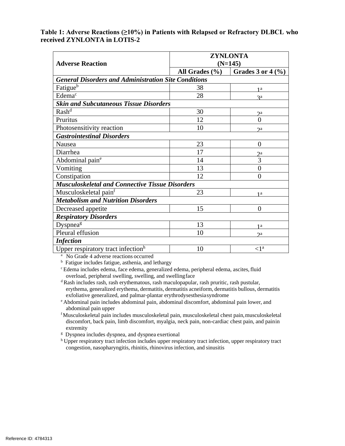### **Table 1: Adverse Reactions (≥10%) in Patients with Relapsed or Refractory DLBCL who received ZYNLONTA in LOTIS-2**

|                                                             | <b>ZYNLONTA</b>    |                                                    |  |  |
|-------------------------------------------------------------|--------------------|----------------------------------------------------|--|--|
| <b>Adverse Reaction</b>                                     | $(N=145)$          |                                                    |  |  |
|                                                             | All Grades $(\% )$ | Grades 3 or $4\frac{(\frac{9}{6})}{(\frac{9}{6})}$ |  |  |
| <b>General Disorders and Administration Site Conditions</b> |                    |                                                    |  |  |
| Fatigue <sup>b</sup>                                        | 38                 | 1 a                                                |  |  |
| Edema <sup>c</sup>                                          | 28                 | $a^a$                                              |  |  |
| <b>Skin and Subcutaneous Tissue Disorders</b>               |                    |                                                    |  |  |
| Rash <sup>d</sup>                                           | 30                 | $\gamma$ a                                         |  |  |
| Pruritus                                                    | 12                 | $\overline{0}$                                     |  |  |
| Photosensitivity reaction                                   | 10                 | $\gamma$ a                                         |  |  |
| <b>Gastrointestinal Disorders</b>                           |                    |                                                    |  |  |
| Nausea                                                      | 23                 | $\overline{0}$                                     |  |  |
| Diarrhea                                                    | 17                 | 2a                                                 |  |  |
| Abdominal pain <sup>e</sup>                                 | 14                 | 3                                                  |  |  |
| Vomiting                                                    | 13                 | $\overline{0}$                                     |  |  |
| Constipation                                                | 12                 | $\Omega$                                           |  |  |
| <b>Musculoskeletal and Connective Tissue Disorders</b>      |                    |                                                    |  |  |
| Musculoskeletal pain <sup>f</sup>                           | 23                 | <b>1a</b>                                          |  |  |
| <b>Metabolism and Nutrition Disorders</b>                   |                    |                                                    |  |  |
| Decreased appetite                                          | 15                 | $\Omega$                                           |  |  |
| <b>Respiratory Disorders</b>                                |                    |                                                    |  |  |
| Dyspnea <sup>g</sup>                                        | 13                 | <b>1a</b>                                          |  |  |
| Pleural effusion                                            | 10                 | 2a                                                 |  |  |
| <b>Infection</b>                                            |                    |                                                    |  |  |
| Upper respiratory tract infection <sup>h</sup>              | 10                 | $\langle 1^a$                                      |  |  |

<sup>a</sup> No Grade 4 adverse reactions occurred

 $<sup>b</sup>$  Fatigue includes fatigue, asthenia, and lethargy</sup>

<sup>c</sup> Edema includes edema, face edema, generalized edema, peripheral edema, ascites, fluid overload, peripheral swelling, swelling, and swellingface

<sup>d</sup>Rash includes rash, rash erythematous, rash maculopapular, rash pruritic, rash pustular, erythema, generalized erythema, dermatitis, dermatitis acneiform, dermatitis bullous, dermatitis exfoliative generalized, and palmar-plantar erythrodysesthesiasyndrome

<sup>e</sup>Abdominal pain includes abdominal pain, abdominal discomfort, abdominal pain lower, and abdominal pain upper

<sup>f</sup>Musculoskeletal pain includes musculoskeletal pain, musculoskeletal chest pain,musculoskeletal discomfort, back pain, limb discomfort, myalgia, neck pain, non-cardiac chest pain, and painin extremity

<sup>g</sup> Dyspnea includes dyspnea, and dyspnea exertional

h Upper respiratory tract infection includes upper respiratory tract infection, upper respiratory tract congestion, nasopharyngitis, rhinitis, rhinovirus infection, and sinusitis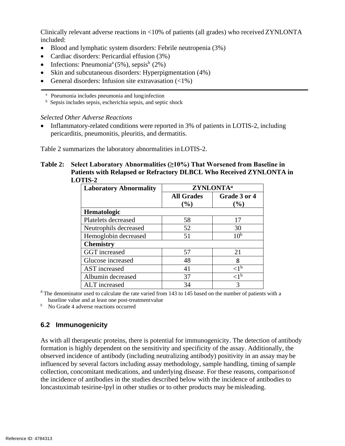Clinically relevant adverse reactions in <10% of patients (all grades) who received ZYNLONTA included:

- Blood and lymphatic system disorders: Febrile neutropenia (3%)
- Cardiac disorders: Pericardial effusion (3%)
- Infections: Pneumonia<sup>a</sup> (5%), sepsis<sup>b</sup> (2%)
- Skin and subcutaneous disorders: Hyperpigmentation (4%)
- General disorders: Infusion site extravasation  $\left(\langle 1\% \right)$

<sup>a</sup> Pneumonia includes pneumonia and lunginfection

 $<sup>b</sup>$  Sepsis includes sepsis, escherichia sepsis, and septic shock</sup>

### *Selected Other Adverse Reactions*

• Inflammatory-related conditions were reported in 3% of patients in LOTIS-2, including pericarditis, pneumonitis, pleuritis, and dermatitis.

Table 2 summarizes the laboratory abnormalities inLOTIS-2.

### **Table 2: Select Laboratory Abnormalities (≥10%) That Worsened from Baseline in Patients with Relapsed or Refractory DLBCL Who Received ZYNLONTA in LOTIS-2**

| <b>Laboratory Abnormality</b> | ZYNLONTA <sup>a</sup>       |                        |
|-------------------------------|-----------------------------|------------------------|
|                               | <b>All Grades</b><br>$(\%)$ | Grade 3 or 4<br>$(\%)$ |
| <b>Hematologic</b>            |                             |                        |
| Platelets decreased           | 58                          | 17                     |
| Neutrophils decreased         | 52                          | 30                     |
| Hemoglobin decreased          | 51                          | 10 <sup>b</sup>        |
| <b>Chemistry</b>              |                             |                        |
| GGT increased                 | 57                          | 21                     |
| Glucose increased             | 48                          | 8                      |
| AST increased                 | 41                          | $\leq l^{\mathrm{b}}$  |
| Albumin decreased             | 37                          | $\langle 1^{\rm b}$    |
| <b>ALT</b> increased          | 34                          | 3                      |

<sup>a</sup> The denominator used to calculate the rate varied from 143 to 145 based on the number of patients with a baseline value and at least one post-treatmentvalue

<sup>b</sup> No Grade 4 adverse reactions occurred

# **6.2 Immunogenicity**

As with all therapeutic proteins, there is potential for immunogenicity. The detection of antibody formation is highly dependent on the sensitivity and specificity of the assay. Additionally, the observed incidence of antibody (including neutralizing antibody) positivity in an assay may be influenced by several factors including assay methodology, sample handling, timing of sample collection, concomitant medications, and underlying disease. For these reasons, comparisonof the incidence of antibodies in the studies described below with the incidence of antibodies to loncastuximab tesirine-lpyl in other studies or to other products may be misleading.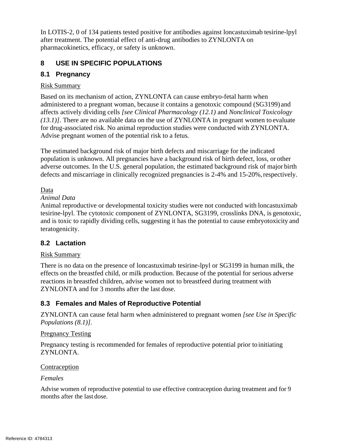In LOTIS-2, 0 of 134 patients tested positive for antibodies against loncastuximab tesirine-lpyl after treatment. The potential effect of anti-drug antibodies to ZYNLONTA on pharmacokinetics, efficacy, or safety is unknown.

# **8 USE IN SPECIFIC POPULATIONS**

# **8.1 Pregnancy**

# Risk Summary

Based on its mechanism of action, ZYNLONTA can cause embryo-fetal harm when administered to a pregnant woman, because it contains a genotoxic compound (SG3199) and affects actively dividing cells *[see Clinical Pharmacology (12.1)* and *Nonclinical Toxicology (13.1)]*. There are no available data on the use of ZYNLONTA in pregnant women to evaluate for drug-associated risk. No animal reproduction studies were conducted with ZYNLONTA. Advise pregnant women of the potential risk to a fetus*.*

The estimated background risk of major birth defects and miscarriage for the indicated population is unknown. All pregnancies have a background risk of birth defect, loss, or other adverse outcomes. In the U.S. general population, the estimated background risk of major birth defects and miscarriage in clinically recognized pregnancies is 2-4% and 15-20%, respectively.

# Data

# *Animal Data*

Animal reproductive or developmental toxicity studies were not conducted with loncastuximab tesirine-lpyl. The cytotoxic component of ZYNLONTA, SG3199, crosslinks DNA, is genotoxic, and is toxic to rapidly dividing cells, suggesting it has the potential to cause embryotoxicity and teratogenicity.

# **8.2 Lactation**

# Risk Summary

There is no data on the presence of loncastuximab tesirine-lpyl or SG3199 in human milk, the effects on the breastfed child, or milk production. Because of the potential for serious adverse reactions in breastfed children, advise women not to breastfeed during treatment with ZYNLONTA and for 3 months after the last dose.

# **8.3 Females and Males of Reproductive Potential**

ZYNLONTA can cause fetal harm when administered to pregnant women *[see Use in Specific Populations (8.1)]*.

# Pregnancy Testing

Pregnancy testing is recommended for females of reproductive potential prior to initiating ZYNLONTA.

# Contraception

# *Females*

Advise women of reproductive potential to use effective contraception during treatment and for 9 months after the last dose.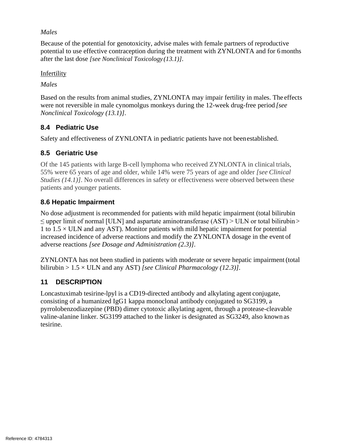### *Males*

Because of the potential for genotoxicity, advise males with female partners of reproductive potential to use effective contraception during the treatment with ZYNLONTA and for 6months after the last dose *[see Nonclinical Toxicology (13.1)]*.

**Infertility** 

*Males*

Based on the results from animal studies, ZYNLONTA may impair fertility in males. The effects were not reversible in male cynomolgus monkeys during the 12-week drug-free period *[see Nonclinical Toxicology (13.1)]*.

# **8.4 Pediatric Use**

Safety and effectiveness of ZYNLONTA in pediatric patients have not beenestablished.

# **8.5 Geriatric Use**

Of the 145 patients with large B-cell lymphoma who received ZYNLONTA in clinical trials, 55% were 65 years of age and older, while 14% were 75 years of age and older *[see Clinical Studies (14.1)]*. No overall differences in safety or effectiveness were observed between these patients and younger patients.

# **8.6 Hepatic Impairment**

No dose adjustment is recommended for patients with mild hepatic impairment (total bilirubin  $\leq$  upper limit of normal [ULN] and aspartate aminotransferase (AST) > ULN or total bilirubin > 1 to  $1.5 \times$  ULN and any AST). Monitor patients with mild hepatic impairment for potential increased incidence of adverse reactions and modify the ZYNLONTA dosage in the event of adverse reactions *[see Dosage and Administration (2.3)]*.

ZYNLONTA has not been studied in patients with moderate or severe hepatic impairment(total bilirubin > 1.5 × ULN and any AST) *[see Clinical Pharmacology (12.3)]*.

# **11 DESCRIPTION**

Loncastuximab tesirine-lpyl is a CD19-directed antibody and alkylating agent conjugate, consisting of a humanized IgG1 kappa monoclonal antibody conjugated to SG3199, a pyrrolobenzodiazepine (PBD) dimer cytotoxic alkylating agent, through a protease-cleavable valine-alanine linker. SG3199 attached to the linker is designated as SG3249, also known as tesirine.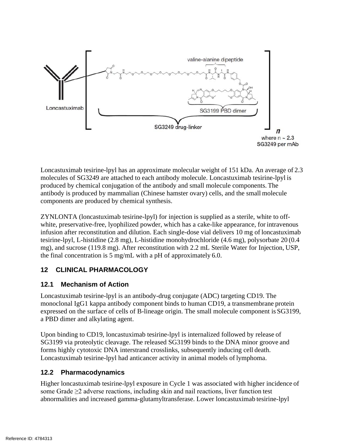

Loncastuximab tesirine-lpyl has an approximate molecular weight of 151 kDa. An average of 2.3 molecules of SG3249 are attached to each antibody molecule. Loncastuximab tesirine-lpyl is produced by chemical conjugation of the antibody and small molecule components. The antibody is produced by mammalian (Chinese hamster ovary) cells, and the small molecule components are produced by chemical synthesis.

ZYNLONTA (loncastuximab tesirine-lpyl) for injection is supplied as a sterile, white to offwhite, preservative-free, lyophilized powder, which has a cake-like appearance, for intravenous infusion after reconstitution and dilution. Each single-dose vial delivers 10 mg of loncastuximab tesirine-lpyl, L-histidine (2.8 mg), L-histidine monohydrochloride (4.6 mg), polysorbate 20 (0.4 mg), and sucrose (119.8 mg). After reconstitution with 2.2 mL Sterile Water for Injection, USP, the final concentration is 5 mg/mL with a pH of approximately 6.0.

# **12 CLINICAL PHARMACOLOGY**

# **12.1 Mechanism of Action**

Loncastuximab tesirine-lpyl is an antibody-drug conjugate (ADC) targeting CD19. The monoclonal IgG1 kappa antibody component binds to human CD19, a transmembrane protein expressed on the surface of cells of B-lineage origin. The small molecule component is SG3199, a PBD dimer and alkylating agent.

Upon binding to CD19, loncastuximab tesirine-lpyl is internalized followed by release of SG3199 via proteolytic cleavage. The released SG3199 binds to the DNA minor groove and forms highly cytotoxic DNA interstrand crosslinks, subsequently inducing cell death. Loncastuximab tesirine-lpyl had anticancer activity in animal models of lymphoma.

# **12.2 Pharmacodynamics**

Higher loncastuximab tesirine-lpyl exposure in Cycle 1 was associated with higher incidence of some Grade  $\geq$  adverse reactions, including skin and nail reactions, liver function test abnormalities and increased gamma-glutamyltransferase. Lower loncastuximab tesirine-lpyl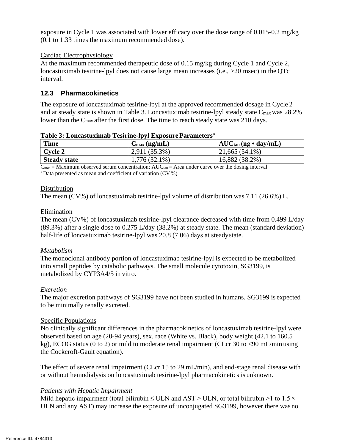exposure in Cycle 1 was associated with lower efficacy over the dose range of 0.015-0.2 mg/kg (0.1 to 1.33 times the maximum recommended dose).

### Cardiac Electrophysiology

At the maximum recommended therapeutic dose of 0.15 mg/kg during Cycle 1 and Cycle 2, loncastuximab tesirine-lpyl does not cause large mean increases (i.e., >20 msec) in the QTc interval.

# **12.3 Pharmacokinetics**

The exposure of loncastuximab tesirine-lpyl at the approved recommended dosage in Cycle 2 and at steady state is shown in Table 3. Loncastuximab tesirine-lpyl steady state Cmax was 28.2% lower than the C<sub>max</sub> after the first dose. The time to reach steady state was 210 days.

| <b>Time</b>         | $C_{\text{max}}$ (ng/mL) | $AUC_{tau}(ng \cdot day/mL)$ |
|---------------------|--------------------------|------------------------------|
| Cycle 2             | $2,911(35.3\%)$          | $21,665(54.1\%)$             |
| <b>Steady state</b> | $1,776(32.1\%)$          | 16,882 (38.2%)               |

**Table 3: Loncastuximab Tesirine-lpyl ExposureParameters<sup>a</sup>**

 $\overline{C_{\text{max}}}$  = Maximum observed serum concentration; AUC $_{\text{tau}}$  = Area under curve over the dosing interval <sup>a</sup>Data presented as mean and coefficient of variation (CV %)

### **Distribution**

The mean (CV%) of loncastuximab tesirine-lpyl volume of distribution was 7.11 (26.6%) L.

### Elimination

The mean (CV%) of loncastuximab tesirine-lpyl clearance decreased with time from 0.499 L/day (89.3%) after a single dose to 0.275 L/day (38.2%) at steady state. The mean (standard deviation) half-life of loncastuximab tesirine-lpyl was 20.8 (7.06) days at steadystate.

# *Metabolism*

The monoclonal antibody portion of loncastuximab tesirine-lpyl is expected to be metabolized into small peptides by catabolic pathways. The small molecule cytotoxin, SG3199, is metabolized by CYP3A4/5 in vitro.

# *Excretion*

The major excretion pathways of SG3199 have not been studied in humans. SG3199 is expected to be minimally renally excreted.

# Specific Populations

No clinically significant differences in the pharmacokinetics of loncastuximab tesirine-lpyl were observed based on age (20-94 years), sex, race (White vs. Black), body weight (42.1 to 160.5 kg), ECOG status (0 to 2) or mild to moderate renal impairment (CLcr 30 to <90 mL/min using the Cockcroft-Gault equation).

The effect of severe renal impairment (CLcr 15 to 29 mL/min), and end-stage renal disease with or without hemodialysis on loncastuximab tesirine-lpyl pharmacokinetics is unknown.

# *Patients with Hepatic Impairment*

Mild hepatic impairment (total bilirubin  $\leq$  ULN and AST  $\geq$  ULN, or total bilirubin  $\geq$  1 to 1.5  $\times$ ULN and any AST) may increase the exposure of unconjugated SG3199, however there was no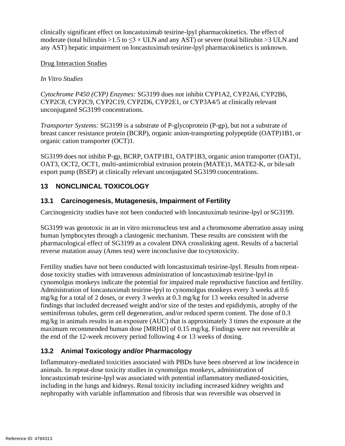clinically significant effect on loncastuximab tesirine-lpyl pharmacokinetics. The effect of moderate (total bilirubin >1.5 to  $\leq$ 3 × ULN and any AST) or severe (total bilirubin >3 ULN and any AST) hepatic impairment on loncastuximab tesirine-lpyl pharmacokinetics is unknown.

### Drug Interaction Studies

# *In Vitro Studies*

*Cytochrome P450 (CYP) Enzymes:* SG3199 does not inhibit CYP1A2, CYP2A6, CYP2B6, CYP2C8, CYP2C9, CYP2C19, CYP2D6, CYP2E1, or CYP3A4/5 at clinically relevant unconjugated SG3199 concentrations.

*Transporter Systems:* SG3199 is a substrate of P-glycoprotein (P-gp), but not a substrate of breast cancer resistance protein (BCRP), organic anion-transporting polypeptide (OATP)1B1, or organic cation transporter (OCT)1.

SG3199 does not inhibit P-gp, BCRP, OATP1B1, OATP1B3, organic anion transporter (OAT)1, OAT3, OCT2, OCT1, multi-antimicrobial extrusion protein (MATE)1, MATE2-K, or bilesalt export pump (BSEP) at clinically relevant unconjugated SG3199 concentrations.

# **13 NONCLINICAL TOXICOLOGY**

# **13.1 Carcinogenesis, Mutagenesis, Impairment of Fertility**

Carcinogenicity studies have not been conducted with loncastuximab tesirine-lpyl orSG3199.

SG3199 was genotoxic in an in vitro micronucleus test and a chromosome aberration assay using human lymphocytes through a clastogenic mechanism. These results are consistent with the pharmacological effect of SG3199 as a covalent DNA crosslinking agent. Results of a bacterial reverse mutation assay (Ames test) were inconclusive due to cytotoxicity.

Fertility studies have not been conducted with loncastuximab tesirine-lpyl. Results from repeatdose toxicity studies with intravenous administration of loncastuximab tesirine-lpyl in cynomolgus monkeys indicate the potential for impaired male reproductive function and fertility. Administration of loncastuximab tesirine-lpyl to cynomolgus monkeys every 3 weeks at 0.6 mg/kg for a total of 2 doses, or every 3 weeks at 0.3 mg/kg for 13 weeks resulted in adverse findings that included decreased weight and/or size of the testes and epididymis, atrophy of the seminiferous tubules, germ cell degeneration, and/or reduced sperm content. The dose of 0.3 mg/kg in animals results in an exposure (AUC) that is approximately 3 times the exposure at the maximum recommended human dose [MRHD] of 0.15 mg/kg. Findings were not reversible at the end of the 12-week recovery period following 4 or 13 weeks of dosing.

# **13.2 Animal Toxicology and/or Pharmacology**

Inflammatory-mediated toxicities associated with PBDs have been observed at low incidence in animals. In repeat-dose toxicity studies in cynomolgus monkeys, administration of loncastuximab tesirine-lpyl was associated with potential inflammatory mediated-toxicities, including in the lungs and kidneys. Renal toxicity including increased kidney weights and nephropathy with variable inflammation and fibrosis that was reversible was observed in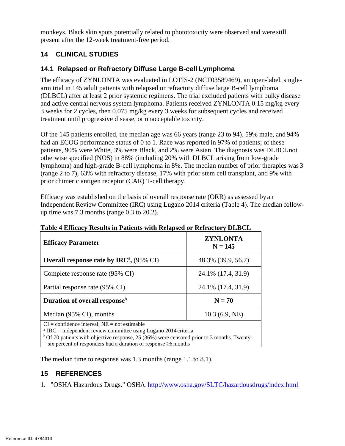monkeys. Black skin spots potentially related to phototoxicity were observed and were still present after the 12-week treatment-free period.

# **14 CLINICAL STUDIES**

# **14.1 Relapsed or Refractory Diffuse Large B-cell Lymphoma**

The efficacy of ZYNLONTA was evaluated in LOTIS-2 (NCT03589469), an open-label, singlearm trial in 145 adult patients with relapsed or refractory diffuse large B-cell lymphoma (DLBCL) after at least 2 prior systemic regimens. The trial excluded patients with bulky disease and active central nervous system lymphoma. Patients received ZYNLONTA 0.15 mg/kg every 3 weeks for 2 cycles, then 0.075 mg/kg every 3 weeks for subsequent cycles and received treatment until progressive disease, or unacceptable toxicity.

Of the 145 patients enrolled, the median age was 66 years (range 23 to 94), 59% male, and 94% had an ECOG performance status of 0 to 1. Race was reported in 97% of patients; of these patients, 90% were White, 3% were Black, and 2% were Asian. The diagnosis was DLBCLnot otherwise specified (NOS) in 88% (including 20% with DLBCL arising from low-grade lymphoma) and high-grade B-cell lymphoma in 8%. The median number of prior therapies was 3 (range 2 to 7), 63% with refractory disease, 17% with prior stem cell transplant, and 9% with prior chimeric antigen receptor (CAR) T-cell therapy.

Efficacy was established on the basis of overall response rate (ORR) as assessed by an Independent Review Committee (IRC) using Lugano 2014 criteria (Table 4). The median followup time was 7.3 months (range 0.3 to 20.2).

| <b>Efficacy Parameter</b>                                                                                                                                                                                                                                                                             | <b>ZYNLONTA</b><br>$N = 145$ |  |  |
|-------------------------------------------------------------------------------------------------------------------------------------------------------------------------------------------------------------------------------------------------------------------------------------------------------|------------------------------|--|--|
| Overall response rate by IRC <sup>a</sup> , $(95\% \text{ CI})$                                                                                                                                                                                                                                       | 48.3% (39.9, 56.7)           |  |  |
| Complete response rate (95% CI)                                                                                                                                                                                                                                                                       | 24.1% (17.4, 31.9)           |  |  |
| Partial response rate (95% CI)                                                                                                                                                                                                                                                                        | 24.1% (17.4, 31.9)           |  |  |
| Duration of overall response <sup>b</sup>                                                                                                                                                                                                                                                             | $N = 70$                     |  |  |
| Median (95% CI), months                                                                                                                                                                                                                                                                               | 10.3(6.9, NE)                |  |  |
| $CI =$ confidence interval, $NE =$ not estimable<br>$^{\circ}$ IRC = independent review committee using Lugano 2014 criteria<br>$b$ Of 70 patients with objective response, 25 (36%) were censored prior to 3 months. Twenty-<br>six percent of responders had a duration of response $\geq 6$ months |                              |  |  |

# **Table 4 Efficacy Results in Patients with Relapsed or Refractory DLBCL**

The median time to response was 1.3 months (range 1.1 to 8.1).

# **15 REFERENCES**

1. "OSHA Hazardous Drugs." OSHA. <http://www.osha.gov/SLTC/hazardousdrugs/index.html>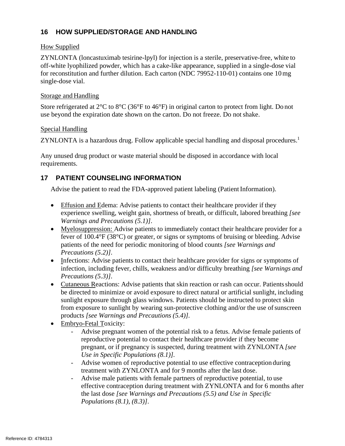# **16 HOW SUPPLIED/STORAGE AND HANDLING**

### How Supplied

ZYNLONTA (loncastuximab tesirine-lpyl) for injection is a sterile, preservative-free, white to off-white lyophilized powder, which has a cake-like appearance, supplied in a single-dose vial for reconstitution and further dilution. Each carton (NDC 79952-110-01) contains one 10mg single-dose vial.

### Storage and Handling

Store refrigerated at 2°C to 8°C (36°F to 46°F) in original carton to protect from light. Do not use beyond the expiration date shown on the carton. Do not freeze. Do notshake.

# Special Handling

ZYNLONTA is a hazardous drug. Follow applicable special handling and disposal procedures.<sup>1</sup>

Any unused drug product or waste material should be disposed in accordance with local requirements.

# **17 PATIENT COUNSELING INFORMATION**

Advise the patient to read the FDA-approved patient labeling (Patient Information).

- Effusion and Edema: Advise patients to contact their healthcare provider if they experience swelling, weight gain, shortness of breath, or difficult, labored breathing *[see Warnings and Precautions (5.1)]*.
- Myelosuppression: Advise patients to immediately contact their healthcare provider for a fever of 100.4°F (38°C) or greater, or signs or symptoms of bruising or bleeding. Advise patients of the need for periodic monitoring of blood counts *[see Warnings and Precautions (5.2)]*.
- Infections: Advise patients to contact their healthcare provider for signs or symptoms of infection, including fever, chills, weakness and/or difficulty breathing *[see Warnings and Precautions (5.3)]*.
- Cutaneous Reactions: Advise patients that skin reaction or rash can occur. Patients should be directed to minimize or avoid exposure to direct natural or artificial sunlight, including sunlight exposure through glass windows. Patients should be instructed to protect skin from exposure to sunlight by wearing sun-protective clothing and/or the use of sunscreen products *[see Warnings and Precautions (5.4)].*
- Embryo-Fetal Toxicity:
	- Advise pregnant women of the potential risk to a fetus. Advise female patients of reproductive potential to contact their healthcare provider if they become pregnant, or if pregnancy is suspected, during treatment with ZYNLONTA *[see Use in Specific Populations (8.1)].*
	- Advise women of reproductive potential to use effective contraception during treatment with ZYNLONTA and for 9 months after the last dose.
	- Advise male patients with female partners of reproductive potential, to use effective contraception during treatment with ZYNLONTA and for 6 months after the last dose *[see Warnings and Precautions (5.5) and Use in Specific Populations (8.1), (8.3)]*.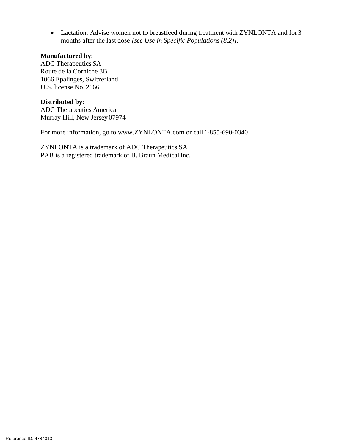• Lactation: Advise women not to breastfeed during treatment with ZYNLONTA and for 3 months after the last dose *[see Use in Specific Populations (8.2)].*

#### **Manufactured by**:

ADC Therapeutics SA Route de la Corniche 3B 1066 Epalinges, Switzerland U.S. license No. 2166

**Distributed by**: ADC Therapeutics America Murray Hill, New Jersey 07974

For more information, go to [www.ZYNLONTA.com](http://www.zynlonta.com/) or call 1-855-690-0340

ZYNLONTA is a trademark of ADC Therapeutics SA PAB is a registered trademark of B. Braun Medical Inc.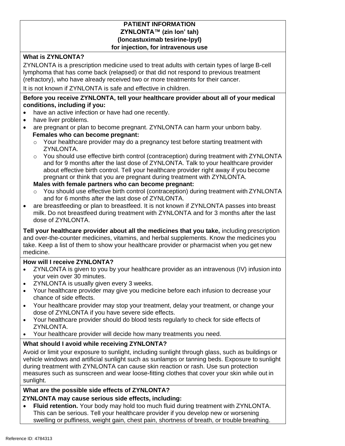### **PATIENT INFORMATION ZYNLONTA™ (zin lon' tah) (loncastuximab tesirine-lpyl) for injection, for intravenous use**

# **What is ZYNLONTA?**

ZYNLONTA is a prescription medicine used to treat adults with certain types of large B-cell lymphoma that has come back (relapsed) or that did not respond to previous treatment (refractory), who have already received two or more treatments for their cancer.

It is not known if ZYNLONTA is safe and effective in children.

### **Before you receive ZYNLONTA, tell your healthcare provider about all of your medical conditions, including if you:**

- have an active infection or have had one recently.
- have liver problems.
- are pregnant or plan to become pregnant. ZYNLONTA can harm your unborn baby. **Females who can become pregnant:**
	- $\circ$  Your healthcare provider may do a pregnancy test before starting treatment with ZYNLONTA.
	- o You should use effective birth control (contraception) during treatment with ZYNLONTA and for 9 months after the last dose of ZYNLONTA. Talk to your healthcare provider about effective birth control. Tell your healthcare provider right away if you become pregnant or think that you are pregnant during treatment with ZYNLONTA.

### **Males with female partners who can become pregnant:**

- You should use effective birth control (contraception) during treatment with ZYNLONTA and for 6 months after the last dose of ZYNLONTA.
- are breastfeeding or plan to breastfeed. It is not known if ZYNLONTA passes into breast milk. Do not breastfeed during treatment with ZYNLONTA and for 3 months after the last dose of ZYNLONTA.

**Tell your healthcare provider about all the medicines that you take,** including prescription and over-the-counter medicines, vitamins, and herbal supplements. Know the medicines you take. Keep a list of them to show your healthcare provider or pharmacist when you get new medicine.

# **How will I receive ZYNLONTA?**

- ZYNLONTA is given to you by your healthcare provider as an intravenous (IV) infusion into your vein over 30 minutes.
- ZYNLONTA is usually given every 3 weeks.
- Your healthcare provider may give you medicine before each infusion to decrease your chance of side effects.
- Your healthcare provider may stop your treatment, delay your treatment, or change your dose of ZYNLONTA if you have severe side effects.
- Your healthcare provider should do blood tests regularly to check for side effects of ZYNLONTA.
- Your healthcare provider will decide how many treatments you need.

# **What should I avoid while receiving ZYNLONTA?**

Avoid or limit your exposure to sunlight, including sunlight through glass, such as buildings or vehicle windows and artificial sunlight such as sunlamps or tanning beds. Exposure to sunlight during treatment with ZYNLONTA can cause skin reaction or rash. Use sun protection measures such as sunscreen and wear loose-fitting clothes that cover your skin while out in sunlight.

#### **What are the possible side effects of ZYNLONTA? ZYNLONTA may cause serious side effects, including:**

• **Fluid retention.** Your body may hold too much fluid during treatment with ZYNLONTA. This can be serious. Tell your healthcare provider if you develop new or worsening swelling or puffiness, weight gain, chest pain, shortness of breath, or trouble breathing.